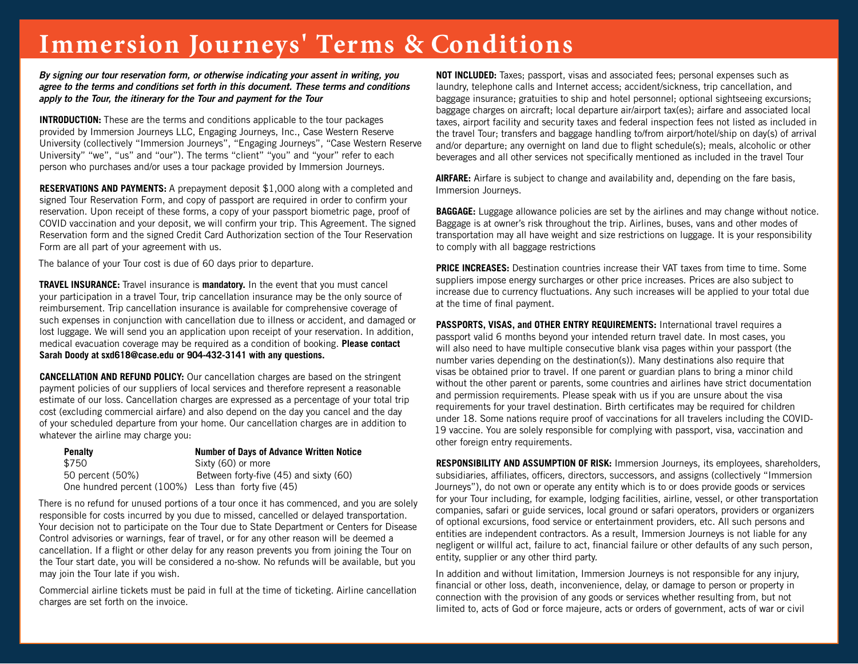## **Immersion Journeys' Terms & Conditions**

*By signing our tour reservation form, or otherwise indicating your assent in writing, you agree to the terms and conditions set forth in this document. These terms and conditions apply to the Tour, the itinerary for the Tour and payment for the Tour*

**INTRODUCTION:** These are the terms and conditions applicable to the tour packages provided by Immersion Journeys LLC, Engaging Journeys, Inc., Case Western Reserve University (collectively "Immersion Journeys", "Engaging Journeys", "Case Western Reserve University" "we", "us" and "our"). The terms "client" "you" and "your" refer to each person who purchases and/or uses a tour package provided by Immersion Journeys.

**RESERVATIONS AND PAYMENTS:** A prepayment deposit \$1,000 along with a completed and signed Tour Reservation Form, and copy of passport are required in order to confirm your reservation. Upon receipt of these forms, a copy of your passport biometric page, proof of COVID vaccination and your deposit, we will confirm your trip. This Agreement. The signed Reservation form and the signed Credit Card Authorization section of the Tour Reservation Form are all part of your agreement with us.

The balance of your Tour cost is due of 60 days prior to departure.

**TRAVEL INSURANCE:** Travel insurance is **mandatory.** In the event that you must cancel your participation in a travel Tour, trip cancellation insurance may be the only source of reimbursement. Trip cancellation insurance is available for comprehensive coverage of such expenses in conjunction with cancellation due to illness or accident, and damaged or lost luggage. We will send you an application upon receipt of your reservation. In addition, medical evacuation coverage may be required as a condition of booking. **Please contact Sarah Doody at sxd618@case.edu or 904-432-3141 with any questions.**

**CANCELLATION AND REFUND POLICY:** Our cancellation charges are based on the stringent payment policies of our suppliers of local services and therefore represent a reasonable estimate of our loss. Cancellation charges are expressed as a percentage of your total trip cost (excluding commercial airfare) and also depend on the day you cancel and the day of your scheduled departure from your home. Our cancellation charges are in addition to whatever the airline may charge you:

| <b>Penalty</b>                                       | <b>Number of Days of Advance Written Notice</b> |
|------------------------------------------------------|-------------------------------------------------|
| \$750                                                | Sixty (60) or more                              |
| 50 percent (50%)                                     | Between forty-five (45) and sixty (60)          |
| One hundred percent (100%) Less than forty five (45) |                                                 |

There is no refund for unused portions of a tour once it has commenced, and you are solely responsible for costs incurred by you due to missed, cancelled or delayed transportation. Your decision not to participate on the Tour due to State Department or Centers for Disease Control advisories or warnings, fear of travel, or for any other reason will be deemed a cancellation. If a flight or other delay for any reason prevents you from joining the Tour on the Tour start date, you will be considered a no-show. No refunds will be available, but you may join the Tour late if you wish.

Commercial airline tickets must be paid in full at the time of ticketing. Airline cancellation charges are set forth on the invoice.

**NOT INCLUDED:** Taxes; passport, visas and associated fees; personal expenses such as laundry, telephone calls and Internet access; accident/sickness, trip cancellation, and baggage insurance; gratuities to ship and hotel personnel; optional sightseeing excursions; baggage charges on aircraft; local departure air/airport tax(es); airfare and associated local taxes, airport facility and security taxes and federal inspection fees not listed as included in the travel Tour; transfers and baggage handling to/from airport/hotel/ship on day(s) of arrival and/or departure; any overnight on land due to flight schedule(s); meals, alcoholic or other beverages and all other services not specifically mentioned as included in the travel Tour

**AIRFARE:** Airfare is subject to change and availability and, depending on the fare basis, Immersion Journeys.

**BAGGAGE:** Luggage allowance policies are set by the airlines and may change without notice. Baggage is at owner's risk throughout the trip. Airlines, buses, vans and other modes of transportation may all have weight and size restrictions on luggage. It is your responsibility to comply with all baggage restrictions

**PRICE INCREASES:** Destination countries increase their VAT taxes from time to time. Some suppliers impose energy surcharges or other price increases. Prices are also subject to increase due to currency fluctuations. Any such increases will be applied to your total due at the time of final payment.

**PASSPORTS, VISAS, and OTHER ENTRY REQUIREMENTS:** International travel requires a passport valid 6 months beyond your intended return travel date. In most cases, you will also need to have multiple consecutive blank visa pages within your passport (the number varies depending on the destination(s)). Many destinations also require that visas be obtained prior to travel. If one parent or guardian plans to bring a minor child without the other parent or parents, some countries and airlines have strict documentation and permission requirements. Please speak with us if you are unsure about the visa requirements for your travel destination. Birth certificates may be required for children under 18. Some nations require proof of vaccinations for all travelers including the COVID-19 vaccine. You are solely responsible for complying with passport, visa, vaccination and other foreign entry requirements.

**RESPONSIBILITY AND ASSUMPTION OF RISK:** Immersion Journeys, its employees, shareholders, subsidiaries, affiliates, officers, directors, successors, and assigns (collectively "Immersion Journeys"), do not own or operate any entity which is to or does provide goods or services for your Tour including, for example, lodging facilities, airline, vessel, or other transportation companies, safari or guide services, local ground or safari operators, providers or organizers of optional excursions, food service or entertainment providers, etc. All such persons and entities are independent contractors. As a result, Immersion Journeys is not liable for any negligent or willful act, failure to act, financial failure or other defaults of any such person, entity, supplier or any other third party.

In addition and without limitation, Immersion Journeys is not responsible for any injury, financial or other loss, death, inconvenience, delay, or damage to person or property in connection with the provision of any goods or services whether resulting from, but not limited to, acts of God or force majeure, acts or orders of government, acts of war or civil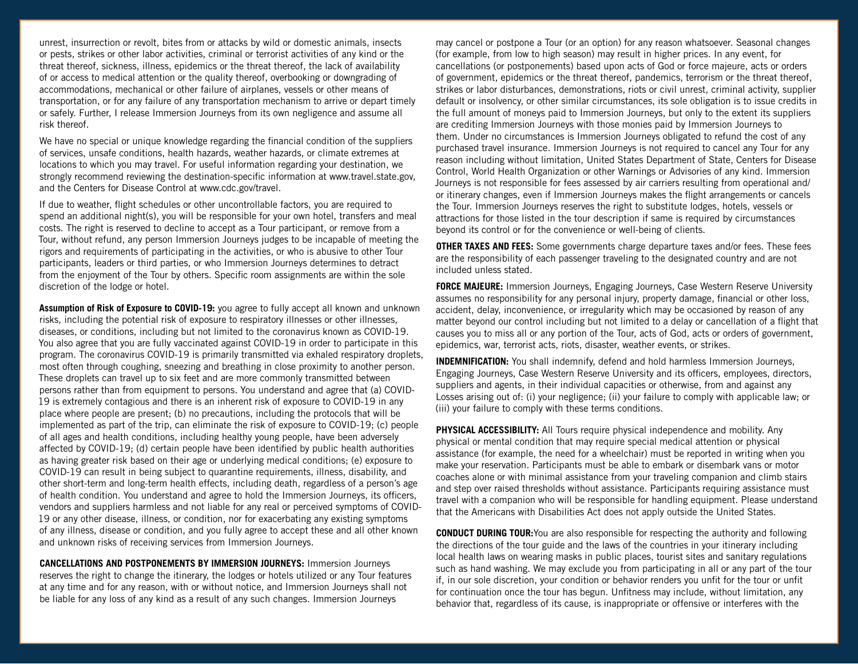unrest, insurrection or revolt, bites from or attacks by wild or domestic animals, insects or pests, strikes or other labor activities, criminal or terrorist activities of any kind or the threat thereof, sickness, illness, epidemics or the threat thereof, the lack of availability of or access to medical attention or the quality thereof, overbooking or downgrading of accommodations, mechanical or other failure of airplanes, vessels or other means of transportation, or for any failure of any transportation mechanism to arrive or depart timely or safely. Further, I release Immersion Journeys from its own negligence and assume all risk thereof.

We have no special or unique knowledge regarding the financial condition of the suppliers of services, unsafe conditions, health hazards, weather hazards, or climate extremes at locations to which you may travel. For useful information regarding your destination, we strongly recommend reviewing the destination-specific information at www.travel.state.gov, and the Centers for Disease Control at www.cdc.gov/travel.

If due to weather, flight schedules or other uncontrollable factors, you are required to spend an additional night(s), you will be responsible for your own hotel, transfers and meal costs. The right is reserved to decline to accept as a Tour participant, or remove from a Tour, without refund, any person Immersion Journeys judges to be incapable of meeting the rigors and requirements of participating in the activities, or who is abusive to other Tour participants, leaders or third parties, or who Immersion Journeys determines to detract from the enjoyment of the Tour by others. Specific room assignments are within the sole discretion of the lodge or hotel.

**Assumption of Risk of Exposure to COVID-19:** you agree to fully accept all known and unknown risks, including the potential risk of exposure to respiratory illnesses or other illnesses, diseases, or conditions, including but not limited to the coronavirus known as COVID-19. You also agree that you are fully vaccinated against COVID-19 in order to participate in this program. The coronavirus COVID-19 is primarily transmitted via exhaled respiratory droplets, most often through coughing, sneezing and breathing in close proximity to another person. These droplets can travel up to six feet and are more commonly transmitted between persons rather than from equipment to persons. You understand and agree that (a) COVID-19 is extremely contagious and there is an inherent risk of exposure to COVID-19 in any place where people are present; (b) no precautions, including the protocols that will be implemented as part of the trip, can eliminate the risk of exposure to COVID-19; (c) people of all ages and health conditions, including healthy young people, have been adversely affected by COVID-19; (d) certain people have been identified by public health authorities as having greater risk based on their age or underlying medical conditions; (e) exposure to COVID-19 can result in being subject to quarantine requirements, illness, disability, and other short-term and long-term health effects, including death, regardless of a person's age of health condition. You understand and agree to hold the Immersion Journeys, its officers, vendors and suppliers harmless and not liable for any real or perceived symptoms of COVID-19 or any other disease, illness, or condition, nor for exacerbating any existing symptoms of any illness, disease or condition, and you fully agree to accept these and all other known and unknown risks of receiving services from Immersion Journeys.

**CANCELLATIONS AND POSTPONEMENTS BY IMMERSION JOURNEYS:** Immersion Journeys reserves the right to change the itinerary, the lodges or hotels utilized or any Tour features at any time and for any reason, with or without notice, and Immersion Journeys shall not be liable for any loss of any kind as a result of any such changes. Immersion Journeys

may cancel or postpone a Tour (or an option) for any reason whatsoever. Seasonal changes (for example, from low to high season) may result in higher prices. In any event, for cancellations (or postponements) based upon acts of God or force majeure, acts or orders of government, epidemics or the threat thereof, pandemics, terrorism or the threat thereof, strikes or labor disturbances, demonstrations, riots or civil unrest, criminal activity, supplier default or insolvency, or other similar circumstances, its sole obligation is to issue credits in the full amount of moneys paid to Immersion Journeys, but only to the extent its suppliers are crediting Immersion Journeys with those monies paid by Immersion Journeys to them. Under no circumstances is Immersion Journeys obligated to refund the cost of any purchased travel insurance. Immersion Journeys is not required to cancel any Tour for any reason including without limitation, United States Department of State, Centers for Disease Control, World Health Organization or other Warnings or Advisories of any kind. Immersion Journeys is not responsible for fees assessed by air carriers resulting from operational and/ or itinerary changes, even if Immersion Journeys makes the flight arrangements or cancels the Tour. Immersion Journeys reserves the right to substitute lodges, hotels, vessels or attractions for those listed in the tour description if same is required by circumstances beyond its control or for the convenience or well-being of clients.

**OTHER TAXES AND FEES:** Some governments charge departure taxes and/or fees. These fees are the responsibility of each passenger traveling to the designated country and are not included unless stated.

**FORCE MAJEURE:** Immersion Journeys, Engaging Journeys, Case Western Reserve University assumes no responsibility for any personal injury, property damage, financial or other loss, accident, delay, inconvenience, or irregularity which may be occasioned by reason of any matter beyond our control including but not limited to a delay or cancellation of a flight that causes you to miss all or any portion of the Tour, acts of God, acts or orders of government, epidemics, war, terrorist acts, riots, disaster, weather events, or strikes.

**INDEMNIFICATION:** You shall indemnify, defend and hold harmless Immersion Journeys, Engaging Journeys, Case Western Reserve University and its officers, employees, directors, suppliers and agents, in their individual capacities or otherwise, from and against any Losses arising out of: (i) your negligence; (ii) your failure to comply with applicable law; or (iii) your failure to comply with these terms conditions.

**PHYSICAL ACCESSIBILITY:** All Tours require physical independence and mobility. Any physical or mental condition that may require special medical attention or physical assistance (for example, the need for a wheelchair) must be reported in writing when you make your reservation. Participants must be able to embark or disembark vans or motor coaches alone or with minimal assistance from your traveling companion and climb stairs and step over raised thresholds without assistance. Participants requiring assistance must travel with a companion who will be responsible for handling equipment. Please understand that the Americans with Disabilities Act does not apply outside the United States.

**CONDUCT DURING TOUR:**You are also responsible for respecting the authority and following the directions of the tour guide and the laws of the countries in your itinerary including local health laws on wearing masks in public places, tourist sites and sanitary regulations such as hand washing. We may exclude you from participating in all or any part of the tour if, in our sole discretion, your condition or behavior renders you unfit for the tour or unfit for continuation once the tour has begun. Unfitness may include, without limitation, any behavior that, regardless of its cause, is inappropriate or offensive or interferes with the